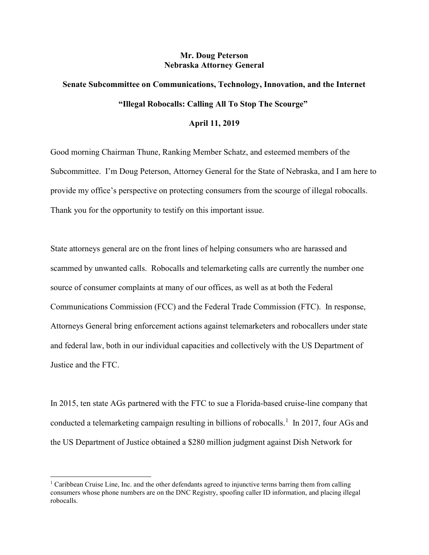## Mr. Doug Peterson Nebraska Attorney General

## Senate Subcommittee on Communications, Technology, Innovation, and the Internet "Illegal Robocalls: Calling All To Stop The Scourge"

## April 11, 2019

Good morning Chairman Thune, Ranking Member Schatz, and esteemed members of the Subcommittee. I'm Doug Peterson, Attorney General for the State of Nebraska, and I am here to provide my office's perspective on protecting consumers from the scourge of illegal robocalls. Thank you for the opportunity to testify on this important issue.

State attorneys general are on the front lines of helping consumers who are harassed and scammed by unwanted calls. Robocalls and telemarketing calls are currently the number one source of consumer complaints at many of our offices, as well as at both the Federal Communications Commission (FCC) and the Federal Trade Commission (FTC). In response, Attorneys General bring enforcement actions against telemarketers and robocallers under state and federal law, both in our individual capacities and collectively with the US Department of Justice and the FTC.

In 2015, ten state AGs partnered with the FTC to sue a Florida-based cruise-line company that conducted a telemarketing campaign resulting in billions of robocalls.<sup>1</sup> In 2017, four AGs and the US Department of Justice obtained a \$280 million judgment against Dish Network for

<sup>&</sup>lt;sup>1</sup> Caribbean Cruise Line, Inc. and the other defendants agreed to injunctive terms barring them from calling consumers whose phone numbers are on the DNC Registry, spoofing caller ID information, and placing illegal robocalls.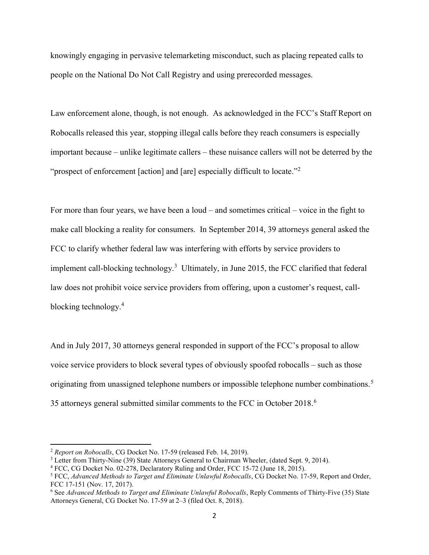knowingly engaging in pervasive telemarketing misconduct, such as placing repeated calls to people on the National Do Not Call Registry and using prerecorded messages.

Law enforcement alone, though, is not enough. As acknowledged in the FCC's Staff Report on Robocalls released this year, stopping illegal calls before they reach consumers is especially important because – unlike legitimate callers – these nuisance callers will not be deterred by the "prospect of enforcement [action] and [are] especially difficult to locate."<sup>2</sup>

For more than four years, we have been a loud – and sometimes critical – voice in the fight to make call blocking a reality for consumers. In September 2014, 39 attorneys general asked the FCC to clarify whether federal law was interfering with efforts by service providers to implement call-blocking technology.<sup>3</sup> Ultimately, in June 2015, the FCC clarified that federal law does not prohibit voice service providers from offering, upon a customer's request, callblocking technology.<sup>4</sup>

And in July 2017, 30 attorneys general responded in support of the FCC's proposal to allow voice service providers to block several types of obviously spoofed robocalls – such as those originating from unassigned telephone numbers or impossible telephone number combinations.<sup>5</sup> 35 attorneys general submitted similar comments to the FCC in October 2018. $6$ 

<sup>&</sup>lt;sup>2</sup> Report on Robocalls, CG Docket No. 17-59 (released Feb. 14, 2019).

<sup>&</sup>lt;sup>3</sup> Letter from Thirty-Nine (39) State Attorneys General to Chairman Wheeler, (dated Sept. 9, 2014).

<sup>&</sup>lt;sup>4</sup> FCC, CG Docket No. 02-278, Declaratory Ruling and Order, FCC 15-72 (June 18, 2015).

<sup>&</sup>lt;sup>5</sup> FCC, Advanced Methods to Target and Eliminate Unlawful Robocalls, CG Docket No. 17-59, Report and Order, FCC 17-151 (Nov. 17, 2017).

<sup>&</sup>lt;sup>6</sup> See Advanced Methods to Target and Eliminate Unlawful Robocalls, Reply Comments of Thirty-Five (35) State Attorneys General, CG Docket No. 17-59 at 2–3 (filed Oct. 8, 2018).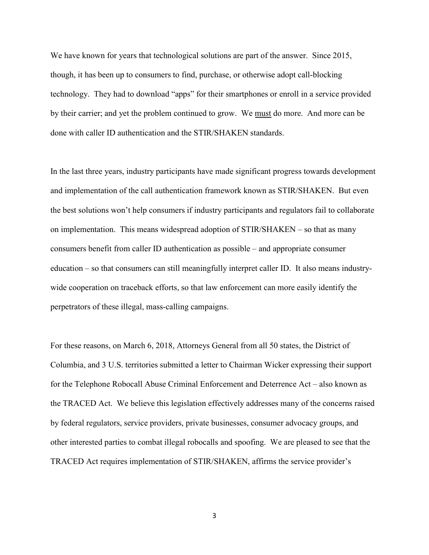We have known for years that technological solutions are part of the answer. Since 2015, though, it has been up to consumers to find, purchase, or otherwise adopt call-blocking technology. They had to download "apps" for their smartphones or enroll in a service provided by their carrier; and yet the problem continued to grow. We must do more. And more can be done with caller ID authentication and the STIR/SHAKEN standards.

In the last three years, industry participants have made significant progress towards development and implementation of the call authentication framework known as STIR/SHAKEN. But even the best solutions won't help consumers if industry participants and regulators fail to collaborate on implementation. This means widespread adoption of STIR/SHAKEN – so that as many consumers benefit from caller ID authentication as possible – and appropriate consumer education – so that consumers can still meaningfully interpret caller ID. It also means industrywide cooperation on traceback efforts, so that law enforcement can more easily identify the perpetrators of these illegal, mass-calling campaigns.

For these reasons, on March 6, 2018, Attorneys General from all 50 states, the District of Columbia, and 3 U.S. territories submitted a letter to Chairman Wicker expressing their support for the Telephone Robocall Abuse Criminal Enforcement and Deterrence Act – also known as the TRACED Act. We believe this legislation effectively addresses many of the concerns raised by federal regulators, service providers, private businesses, consumer advocacy groups, and other interested parties to combat illegal robocalls and spoofing. We are pleased to see that the TRACED Act requires implementation of STIR/SHAKEN, affirms the service provider's